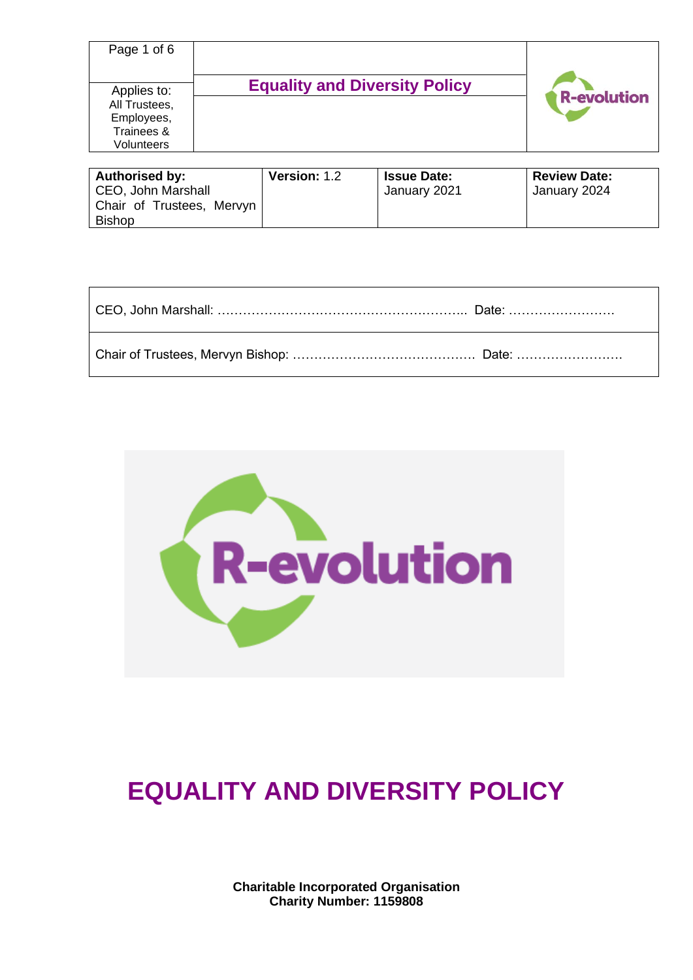| Page 1 of 6                                                            |                                      |                    |
|------------------------------------------------------------------------|--------------------------------------|--------------------|
| Applies to:<br>All Trustees,<br>Employees,<br>Trainees &<br>Volunteers | <b>Equality and Diversity Policy</b> | <b>R-evolution</b> |

| <b>Authorised by:</b>     | <b>Version: 1.2</b> | <b>Issue Date:</b> | <b>Review Date:</b> |
|---------------------------|---------------------|--------------------|---------------------|
| CEO, John Marshall        |                     | January 2021       | January 2024        |
| Chair of Trustees, Mervyn |                     |                    |                     |
| <b>Bishop</b>             |                     |                    |                     |



# **EQUALITY AND DIVERSITY POLICY**

**Charitable Incorporated Organisation Charity Number: 1159808**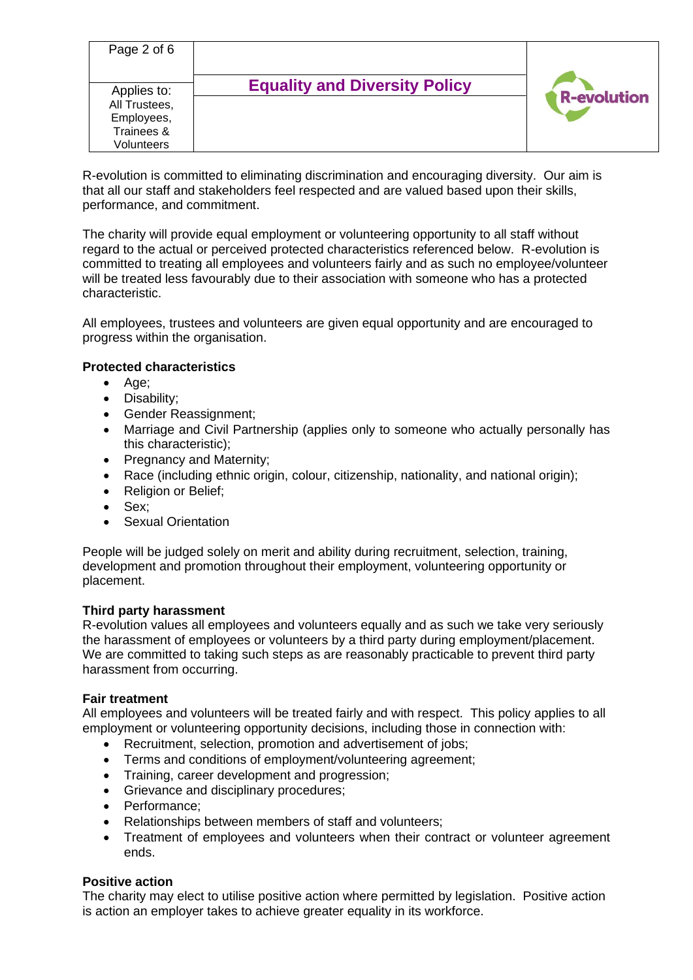| Page 2 of 6                                |                                      |                    |
|--------------------------------------------|--------------------------------------|--------------------|
| Applies to:<br>All Trustees,<br>Employees, | <b>Equality and Diversity Policy</b> | <b>R-evolution</b> |
| Trainees &<br>Volunteers                   |                                      |                    |

R-evolution is committed to eliminating discrimination and encouraging diversity. Our aim is that all our staff and stakeholders feel respected and are valued based upon their skills, performance, and commitment.

The charity will provide equal employment or volunteering opportunity to all staff without regard to the actual or perceived protected characteristics referenced below. R-evolution is committed to treating all employees and volunteers fairly and as such no employee/volunteer will be treated less favourably due to their association with someone who has a protected characteristic.

All employees, trustees and volunteers are given equal opportunity and are encouraged to progress within the organisation.

# **Protected characteristics**

- Age;
- Disability;
- Gender Reassignment;
- Marriage and Civil Partnership (applies only to someone who actually personally has this characteristic);
- Pregnancy and Maternity;
- Race (including ethnic origin, colour, citizenship, nationality, and national origin);
- Religion or Belief;
- Sex;
- Sexual Orientation

People will be judged solely on merit and ability during recruitment, selection, training, development and promotion throughout their employment, volunteering opportunity or placement.

#### **Third party harassment**

R-evolution values all employees and volunteers equally and as such we take very seriously the harassment of employees or volunteers by a third party during employment/placement. We are committed to taking such steps as are reasonably practicable to prevent third party harassment from occurring.

#### **Fair treatment**

All employees and volunteers will be treated fairly and with respect. This policy applies to all employment or volunteering opportunity decisions, including those in connection with:

- Recruitment, selection, promotion and advertisement of jobs;
- Terms and conditions of employment/volunteering agreement;
- Training, career development and progression;
- Grievance and disciplinary procedures;
- Performance;
- Relationships between members of staff and volunteers;
- Treatment of employees and volunteers when their contract or volunteer agreement ends.

# **Positive action**

The charity may elect to utilise positive action where permitted by legislation. Positive action is action an employer takes to achieve greater equality in its workforce.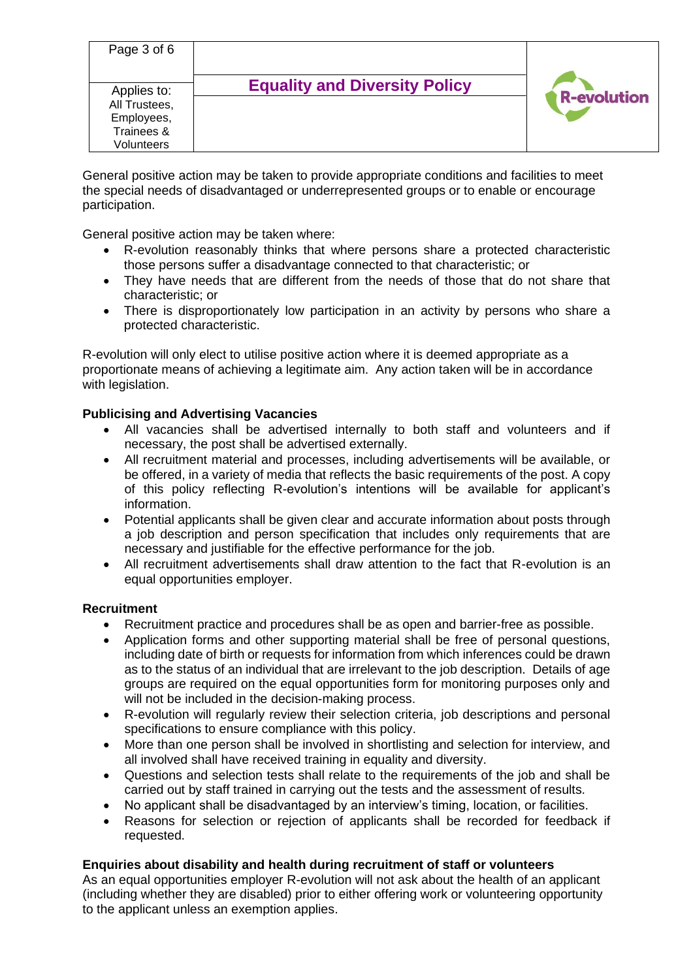| Page 3 of 6                                                            |                                      |                    |
|------------------------------------------------------------------------|--------------------------------------|--------------------|
| Applies to:<br>All Trustees,<br>Employees,<br>Trainees &<br>Volunteers | <b>Equality and Diversity Policy</b> | <b>R-evolution</b> |

General positive action may be taken to provide appropriate conditions and facilities to meet the special needs of disadvantaged or underrepresented groups or to enable or encourage participation.

General positive action may be taken where:

- R-evolution reasonably thinks that where persons share a protected characteristic those persons suffer a disadvantage connected to that characteristic; or
- They have needs that are different from the needs of those that do not share that characteristic; or
- There is disproportionately low participation in an activity by persons who share a protected characteristic.

R-evolution will only elect to utilise positive action where it is deemed appropriate as a proportionate means of achieving a legitimate aim. Any action taken will be in accordance with legislation.

# **Publicising and Advertising Vacancies**

- All vacancies shall be advertised internally to both staff and volunteers and if necessary, the post shall be advertised externally.
- All recruitment material and processes, including advertisements will be available, or be offered, in a variety of media that reflects the basic requirements of the post. A copy of this policy reflecting R-evolution's intentions will be available for applicant's information.
- Potential applicants shall be given clear and accurate information about posts through a job description and person specification that includes only requirements that are necessary and justifiable for the effective performance for the job.
- All recruitment advertisements shall draw attention to the fact that R-evolution is an equal opportunities employer.

# **Recruitment**

- Recruitment practice and procedures shall be as open and barrier-free as possible.
- Application forms and other supporting material shall be free of personal questions, including date of birth or requests for information from which inferences could be drawn as to the status of an individual that are irrelevant to the job description. Details of age groups are required on the equal opportunities form for monitoring purposes only and will not be included in the decision-making process.
- R-evolution will regularly review their selection criteria, job descriptions and personal specifications to ensure compliance with this policy.
- More than one person shall be involved in shortlisting and selection for interview, and all involved shall have received training in equality and diversity.
- Questions and selection tests shall relate to the requirements of the job and shall be carried out by staff trained in carrying out the tests and the assessment of results.
- No applicant shall be disadvantaged by an interview's timing, location, or facilities.
- Reasons for selection or rejection of applicants shall be recorded for feedback if requested.

# **Enquiries about disability and health during recruitment of staff or volunteers**

As an equal opportunities employer R-evolution will not ask about the health of an applicant (including whether they are disabled) prior to either offering work or volunteering opportunity to the applicant unless an exemption applies.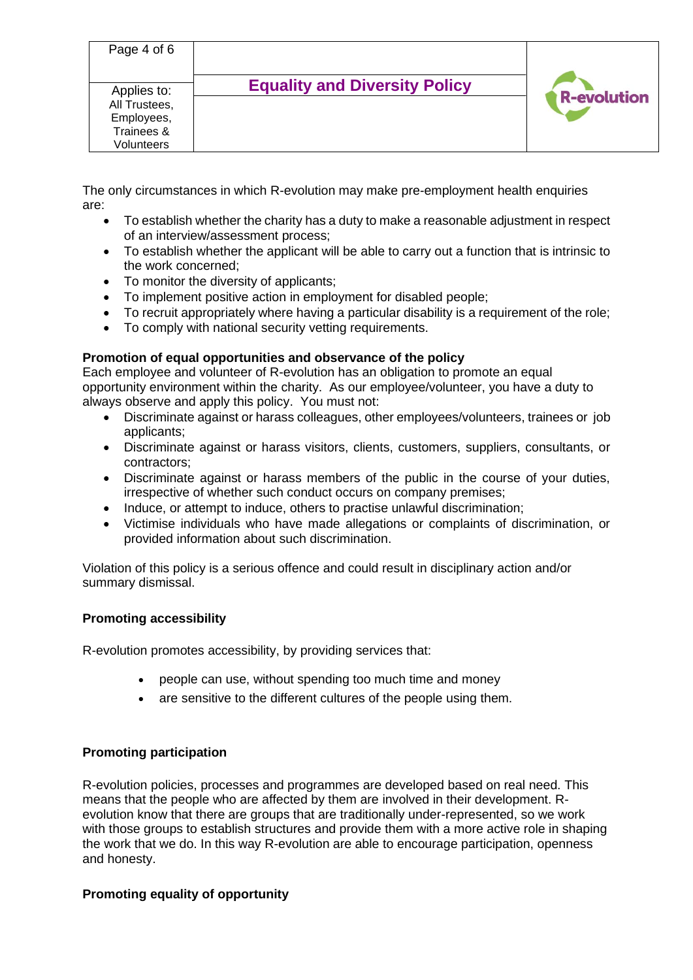| Page 4 of 6   | <b>Equality and Diversity Policy</b> |                    |
|---------------|--------------------------------------|--------------------|
| Applies to:   |                                      | <b>R-evolution</b> |
| All Trustees, |                                      |                    |
| Employees,    |                                      |                    |
| Trainees &    |                                      |                    |
| Volunteers    |                                      |                    |

The only circumstances in which R-evolution may make pre-employment health enquiries are:

- To establish whether the charity has a duty to make a reasonable adjustment in respect of an interview/assessment process;
- To establish whether the applicant will be able to carry out a function that is intrinsic to the work concerned;
- To monitor the diversity of applicants;
- To implement positive action in employment for disabled people;
- To recruit appropriately where having a particular disability is a requirement of the role;
- To comply with national security vetting requirements.

# **Promotion of equal opportunities and observance of the policy**

Each employee and volunteer of R-evolution has an obligation to promote an equal opportunity environment within the charity. As our employee/volunteer, you have a duty to always observe and apply this policy. You must not:

- Discriminate against or harass colleagues, other employees/volunteers, trainees or job applicants;
- Discriminate against or harass visitors, clients, customers, suppliers, consultants, or contractors;
- Discriminate against or harass members of the public in the course of your duties, irrespective of whether such conduct occurs on company premises;
- Induce, or attempt to induce, others to practise unlawful discrimination;
- Victimise individuals who have made allegations or complaints of discrimination, or provided information about such discrimination.

Violation of this policy is a serious offence and could result in disciplinary action and/or summary dismissal.

# **Promoting accessibility**

R-evolution promotes accessibility, by providing services that:

- people can use, without spending too much time and money
- are sensitive to the different cultures of the people using them.

# **Promoting participation**

R-evolution policies, processes and programmes are developed based on real need. This means that the people who are affected by them are involved in their development. Revolution know that there are groups that are traditionally under-represented, so we work with those groups to establish structures and provide them with a more active role in shaping the work that we do. In this way R-evolution are able to encourage participation, openness and honesty.

# **Promoting equality of opportunity**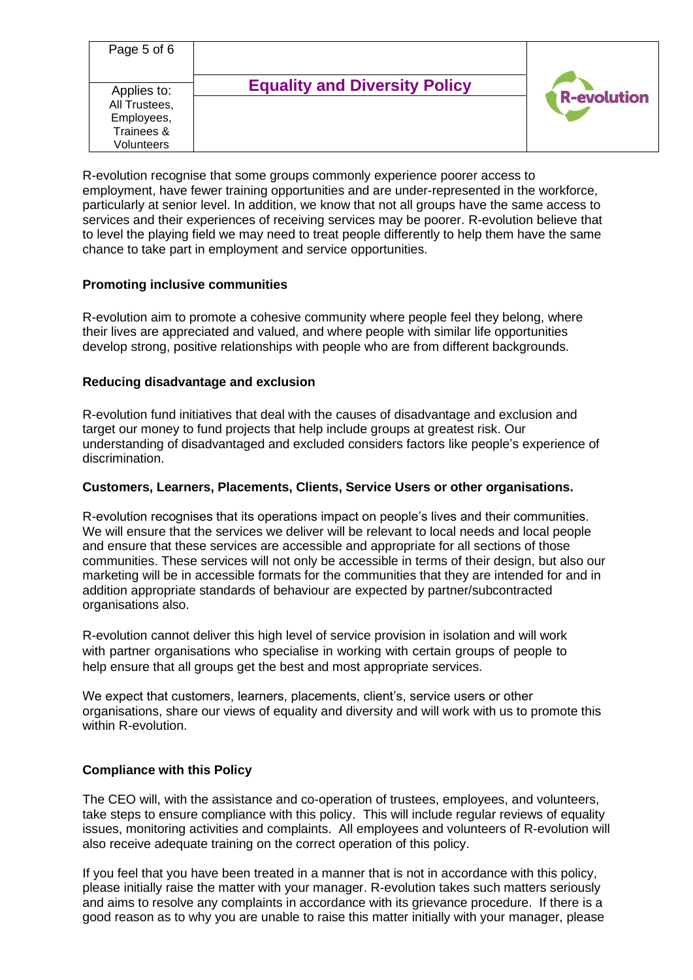| Page 5 of 6                                                            |                                      |                    |
|------------------------------------------------------------------------|--------------------------------------|--------------------|
| Applies to:<br>All Trustees,<br>Employees,<br>Trainees &<br>Volunteers | <b>Equality and Diversity Policy</b> | <b>R-evolution</b> |

R-evolution recognise that some groups commonly experience poorer access to employment, have fewer training opportunities and are under-represented in the workforce, particularly at senior level. In addition, we know that not all groups have the same access to services and their experiences of receiving services may be poorer. R-evolution believe that to level the playing field we may need to treat people differently to help them have the same chance to take part in employment and service opportunities.

# **Promoting inclusive communities**

R-evolution aim to promote a cohesive community where people feel they belong, where their lives are appreciated and valued, and where people with similar life opportunities develop strong, positive relationships with people who are from different backgrounds.

# **Reducing disadvantage and exclusion**

R-evolution fund initiatives that deal with the causes of disadvantage and exclusion and target our money to fund projects that help include groups at greatest risk. Our understanding of disadvantaged and excluded considers factors like people's experience of discrimination.

# **Customers, Learners, Placements, Clients, Service Users or other organisations.**

R-evolution recognises that its operations impact on people's lives and their communities. We will ensure that the services we deliver will be relevant to local needs and local people and ensure that these services are accessible and appropriate for all sections of those communities. These services will not only be accessible in terms of their design, but also our marketing will be in accessible formats for the communities that they are intended for and in addition appropriate standards of behaviour are expected by partner/subcontracted organisations also.

R-evolution cannot deliver this high level of service provision in isolation and will work with partner organisations who specialise in working with certain groups of people to help ensure that all groups get the best and most appropriate services.

We expect that customers, learners, placements, client's, service users or other organisations, share our views of equality and diversity and will work with us to promote this within R-evolution.

# **Compliance with this Policy**

The CEO will, with the assistance and co-operation of trustees, employees, and volunteers, take steps to ensure compliance with this policy. This will include regular reviews of equality issues, monitoring activities and complaints. All employees and volunteers of R-evolution will also receive adequate training on the correct operation of this policy.

If you feel that you have been treated in a manner that is not in accordance with this policy, please initially raise the matter with your manager. R-evolution takes such matters seriously and aims to resolve any complaints in accordance with its grievance procedure. If there is a good reason as to why you are unable to raise this matter initially with your manager, please